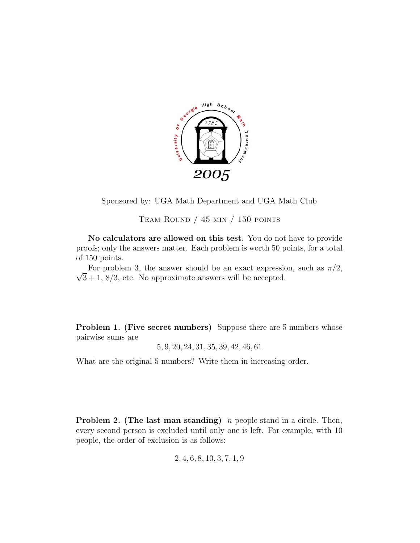

Sponsored by: UGA Math Department and UGA Math Club

TEAM ROUND  $/$  45 min  $/$  150 points

**No calculators are allowed on this test.** You do not have to provide proofs; only the answers matter. Each problem is worth 50 points, for a total of 150 points.

 $\sqrt{3} + 1$ , 8/3, etc. No approximate answers will be accepted. For problem 3, the answer should be an exact expression, such as  $\pi/2$ ,

**Problem 1. (Five secret numbers)** Suppose there are 5 numbers whose pairwise sums are

5, 9, 20, 24, 31, 35, 39, 42, 46, 61

What are the original 5 numbers? Write them in increasing order.

**Problem 2. (The last man standing)** *n* people stand in a circle. Then, every second person is excluded until only one is left. For example, with 10 people, the order of exclusion is as follows:

$$
2, 4, 6, 8, 10, 3, 7, 1, 9
$$